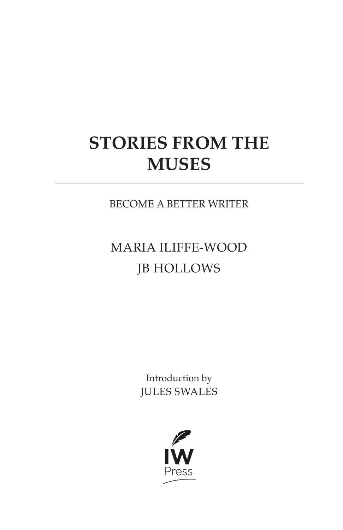# **STORIES FROM THE MUSES**

BECOME A BETTER WRITER

## MARIA ILIFFE-WOOD JB HOLLOWS

Introduction by JULES SWALES

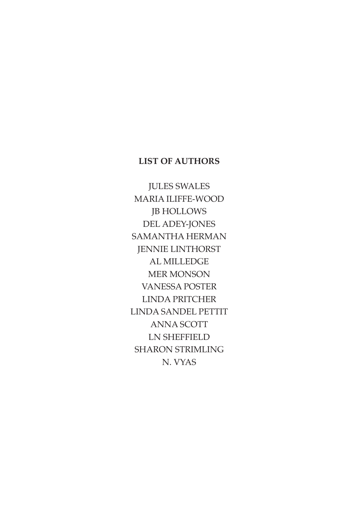#### **LIST OF AUTHORS**

JULES SWALES MARIA ILIFFE-WOOD JB HOLLOWS DEL ADEY-JONES SAMANTHA HERMAN JENNIE LINTHORST AL MILLEDGE MER MONSON VANESSA POSTER LINDA PRITCHER LINDA SANDEL PETTIT ANNA SCOTT LN SHEFFIELD SHARON STRIMLING N. VYAS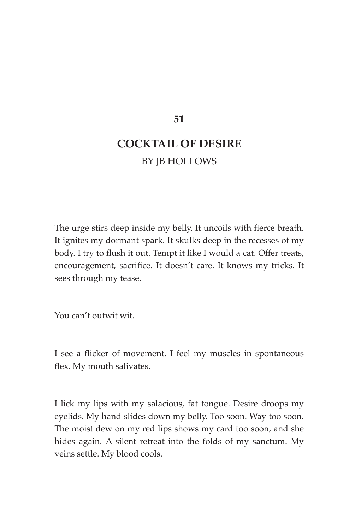**51**

### **COCKTAIL OF DESIRE** BY JB HOLLOWS

The urge stirs deep inside my belly. It uncoils with fierce breath. It ignites my dormant spark. It skulks deep in the recesses of my body. I try to flush it out. Tempt it like I would a cat. Offer treats, encouragement, sacrifice. It doesn't care. It knows my tricks. It sees through my tease.

You can't outwit wit.

I see a flicker of movement. I feel my muscles in spontaneous flex. My mouth salivates.

I lick my lips with my salacious, fat tongue. Desire droops my eyelids. My hand slides down my belly. Too soon. Way too soon. The moist dew on my red lips shows my card too soon, and she hides again. A silent retreat into the folds of my sanctum. My veins settle. My blood cools.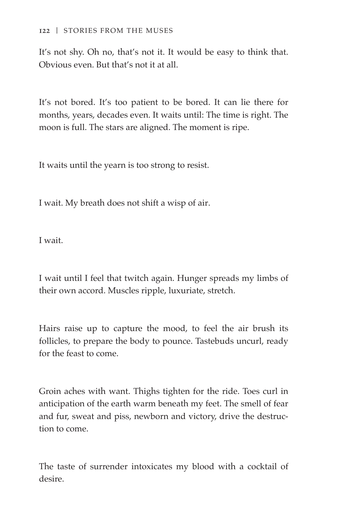It's not shy. Oh no, that's not it. It would be easy to think that. Obvious even. But that's not it at all.

It's not bored. It's too patient to be bored. It can lie there for months, years, decades even. It waits until: The time is right. The moon is full. The stars are aligned. The moment is ripe.

It waits until the yearn is too strong to resist.

I wait. My breath does not shift a wisp of air.

I wait.

I wait until I feel that twitch again. Hunger spreads my limbs of their own accord. Muscles ripple, luxuriate, stretch.

Hairs raise up to capture the mood, to feel the air brush its follicles, to prepare the body to pounce. Tastebuds uncurl, ready for the feast to come.

Groin aches with want. Thighs tighten for the ride. Toes curl in anticipation of the earth warm beneath my feet. The smell of fear and fur, sweat and piss, newborn and victory, drive the destruction to come.

The taste of surrender intoxicates my blood with a cocktail of desire.